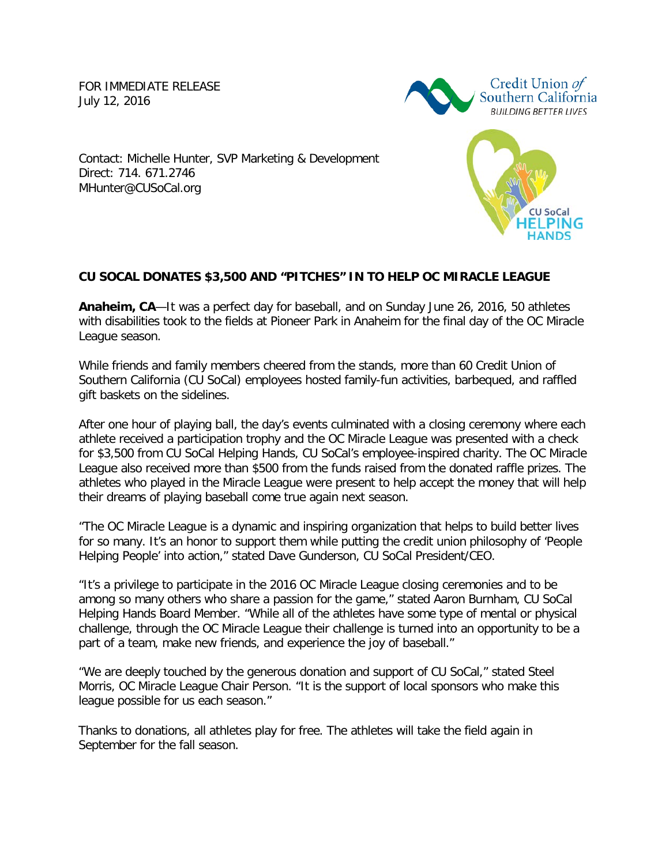FOR IMMEDIATE RELEASE<br>July 12, 2016 July 12, 2016



 Contact: Michelle Hunter, SVP Marketing & Development Direct: 714. 671.2746 MHunter@CUSoCal.org

## **CU SOCAL DONATES \$3,500 AND "PITCHES" IN TO HELP OC MIRACLE LEAGUE**

 **Anaheim, CA**—It was a perfect day for baseball, and on Sunday June 26, 2016, 50 athletes with disabilities took to the fields at Pioneer Park in Anaheim for the final day of the OC Miracle League season.

 While friends and family members cheered from the stands, more than 60 Credit Union of Southern California (CU SoCal) employees hosted family-fun activities, barbequed, and raffled gift baskets on the sidelines.

 After one hour of playing ball, the day's events culminated with a closing ceremony where each athlete received a participation trophy and the OC Miracle League was presented with a check for \$3,500 from CU SoCal Helping Hands, CU SoCal's employee-inspired charity. The OC Miracle League also received more than \$500 from the funds raised from the donated raffle prizes. The athletes who played in the Miracle League were present to help accept the money that will help their dreams of playing baseball come true again next season.

 "The OC Miracle League is a dynamic and inspiring organization that helps to build better lives for so many. It's an honor to support them while putting the credit union philosophy of 'People Helping People' into action," stated Dave Gunderson, CU SoCal President/CEO.

 "It's a privilege to participate in the 2016 OC Miracle League closing ceremonies and to be among so many others who share a passion for the game," stated Aaron Burnham, CU SoCal Helping Hands Board Member. "While all of the athletes have some type of mental or physical challenge, through the OC Miracle League their challenge is turned into an opportunity to be a part of a team, make new friends, and experience the joy of baseball."

 "We are deeply touched by the generous donation and support of CU SoCal," stated Steel Morris, OC Miracle League Chair Person. "It is the support of local sponsors who make this league possible for us each season."

 Thanks to donations, all athletes play for free. The athletes will take the field again in September for the fall season.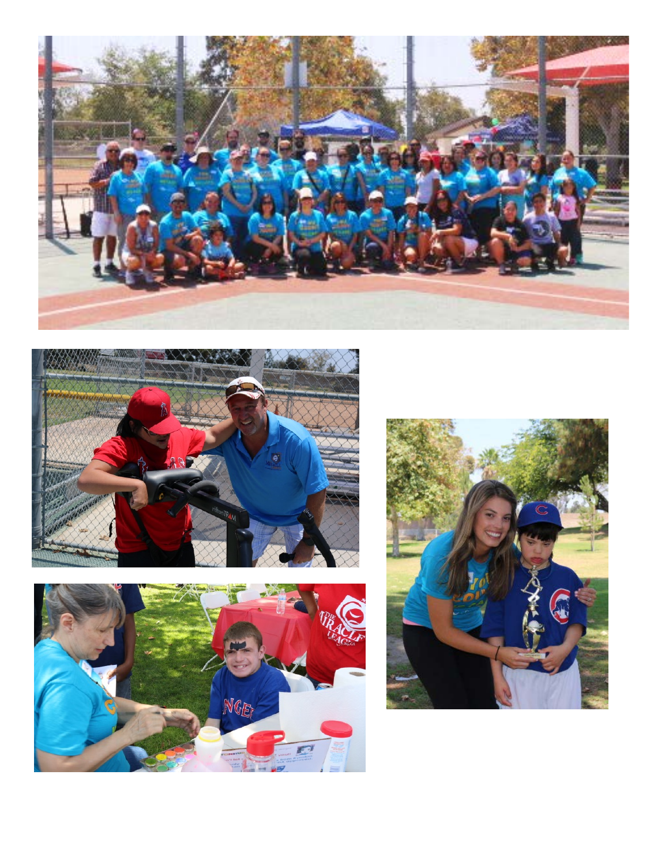